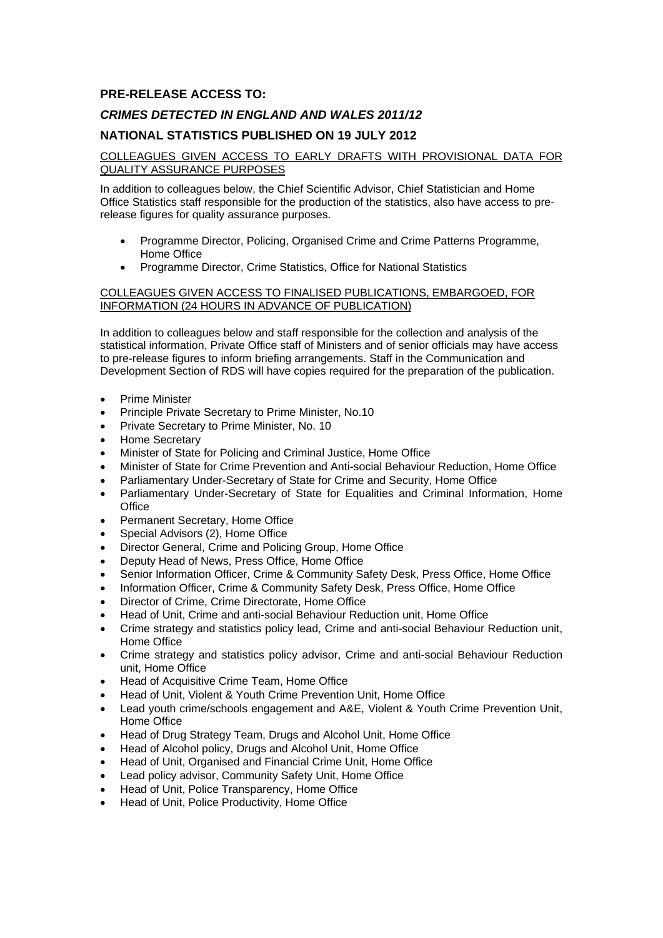# **PRE-RELEASE ACCESS TO:**

# *CRIMES DETECTED IN ENGLAND AND WALES 2011/12*

### **NATIONAL STATISTICS PUBLISHED ON 19 JULY 2012**

### COLLEAGUES GIVEN ACCESS TO EARLY DRAFTS WITH PROVISIONAL DATA FOR QUALITY ASSURANCE PURPOSES

In addition to colleagues below, the Chief Scientific Advisor, Chief Statistician and Home Office Statistics staff responsible for the production of the statistics, also have access to prerelease figures for quality assurance purposes.

- Programme Director, Policing, Organised Crime and Crime Patterns Programme, Home Office
- Programme Director, Crime Statistics, Office for National Statistics

### COLLEAGUES GIVEN ACCESS TO FINALISED PUBLICATIONS, EMBARGOED, FOR INFORMATION (24 HOURS IN ADVANCE OF PUBLICATION)

In addition to colleagues below and staff responsible for the collection and analysis of the statistical information, Private Office staff of Ministers and of senior officials may have access to pre-release figures to inform briefing arrangements. Staff in the Communication and Development Section of RDS will have copies required for the preparation of the publication.

- Prime Minister
- Principle Private Secretary to Prime Minister, No.10
- **•** Private Secretary to Prime Minister, No. 10
- Home Secretary
- Minister of State for Policing and Criminal Justice, Home Office
- Minister of State for Crime Prevention and Anti-social Behaviour Reduction, Home Office
- Parliamentary Under-Secretary of State for Crime and Security, Home Office
- Parliamentary Under-Secretary of State for Equalities and Criminal Information, Home **Office**
- Permanent Secretary, Home Office
- Special Advisors (2), Home Office
- Director General, Crime and Policing Group, Home Office
- Deputy Head of News, Press Office, Home Office
- Senior Information Officer, Crime & Community Safety Desk, Press Office, Home Office
- Information Officer, Crime & Community Safety Desk, Press Office, Home Office
- Director of Crime, Crime Directorate, Home Office
- Head of Unit, Crime and anti-social Behaviour Reduction unit, Home Office
- Crime strategy and statistics policy lead, Crime and anti-social Behaviour Reduction unit, Home Office
- Crime strategy and statistics policy advisor, Crime and anti-social Behaviour Reduction unit, Home Office
- Head of Acquisitive Crime Team, Home Office
- Head of Unit, Violent & Youth Crime Prevention Unit, Home Office
- Lead youth crime/schools engagement and A&E, Violent & Youth Crime Prevention Unit, Home Office
- Head of Drug Strategy Team, Drugs and Alcohol Unit, Home Office
- Head of Alcohol policy, Drugs and Alcohol Unit, Home Office
- Head of Unit, Organised and Financial Crime Unit, Home Office
- Lead policy advisor, Community Safety Unit, Home Office
- Head of Unit, Police Transparency, Home Office
- Head of Unit, Police Productivity, Home Office